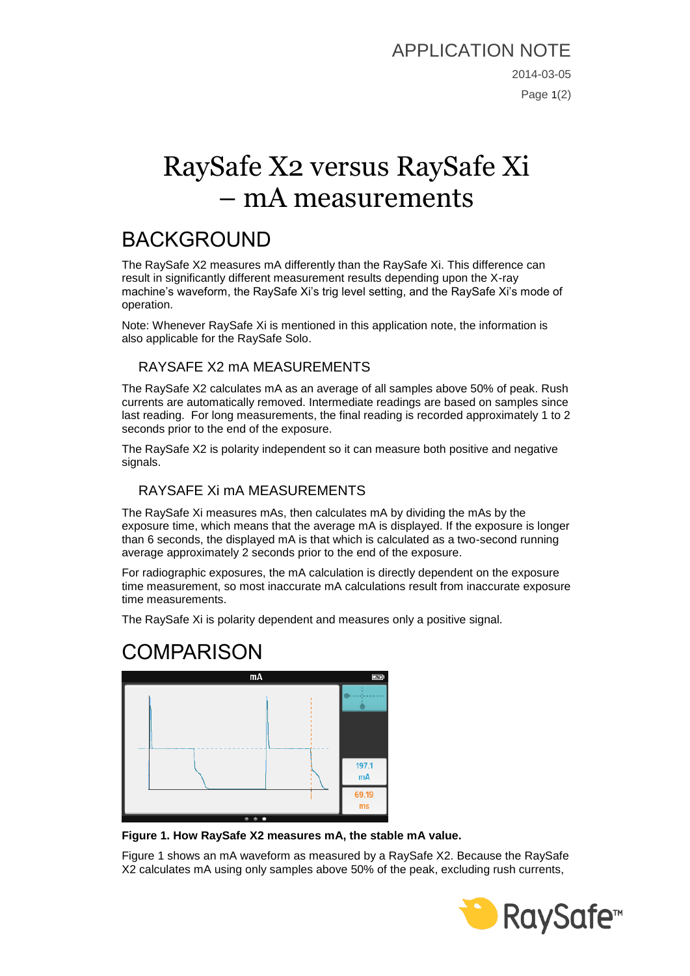# RaySafe X2 versus RaySafe Xi – mA measurements

## BACKGROUND

The RaySafe X2 measures mA differently than the RaySafe Xi. This difference can result in significantly different measurement results depending upon the X-ray machine's waveform, the RaySafe Xi's trig level setting, and the RaySafe Xi's mode of operation.

Note: Whenever RaySafe Xi is mentioned in this application note, the information is also applicable for the RaySafe Solo.

#### RAYSAFE X2 mA MEASUREMENTS

The RaySafe X2 calculates mA as an average of all samples above 50% of peak. Rush currents are automatically removed. Intermediate readings are based on samples since last reading. For long measurements, the final reading is recorded approximately 1 to 2 seconds prior to the end of the exposure.

The RaySafe X2 is polarity independent so it can measure both positive and negative signals.

#### RAYSAFE Xi mA MEASUREMENTS

The RaySafe Xi measures mAs, then calculates mA by dividing the mAs by the exposure time, which means that the average mA is displayed. If the exposure is longer than 6 seconds, the displayed mA is that which is calculated as a two-second running average approximately 2 seconds prior to the end of the exposure.

For radiographic exposures, the mA calculation is directly dependent on the exposure time measurement, so most inaccurate mA calculations result from inaccurate exposure time measurements.

The RaySafe Xi is polarity dependent and measures only a positive signal.

### COMPARISON



<span id="page-0-0"></span>**Figure 1. How RaySafe X2 measures mA, the stable mA value.**

[Figure 1](#page-0-0) shows an mA waveform as measured by a RaySafe X2. Because the RaySafe X2 calculates mA using only samples above 50% of the peak, excluding rush currents,